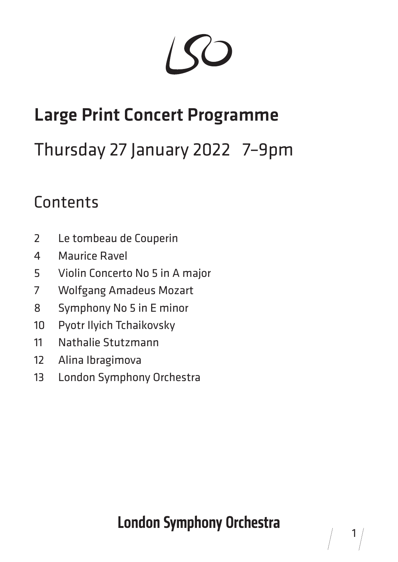# Large Print Concert Programme

# Thursday 27 January 2022 7–9pm

#### **Contents**

- Le tombeau de Couperin
- Maurice Ravel
- Violin Concerto No 5 in A major
- Wolfgang Amadeus Mozart
- Symphony No 5 in E minor
- Pyotr Ilyich Tchaikovsky
- Nathalie Stutzmann
- Alina Ibragimova
- London Symphony Orchestra

### **London Symphony Orchestra**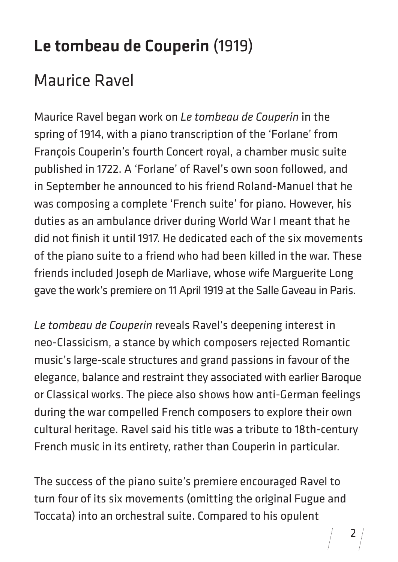#### Le tombeau de Couperin (1919)

#### Maurice Ravel

Maurice Ravel began work on *Le tombeau de Couperin* in the spring of 1914, with a piano transcription of the 'Forlane' from François Couperin's fourth Concert royal, a chamber music suite published in 1722. A 'Forlane' of Ravel's own soon followed, and in September he announced to his friend Roland-Manuel that he was composing a complete 'French suite' for piano. However, his duties as an ambulance driver during World War I meant that he did not finish it until 1917. He dedicated each of the six movements of the piano suite to a friend who had been killed in the war. These friends included Joseph de Marliave, whose wife Marguerite Long gave the work's premiere on 11 April 1919 at the Salle Gaveau in Paris.

*Le tombeau de Couperin* reveals Ravel's deepening interest in neo-Classicism, a stance by which composers rejected Romantic music's large-scale structures and grand passions in favour of the elegance, balance and restraint they associated with earlier Baroque or Classical works. The piece also shows how anti-German feelings during the war compelled French composers to explore their own cultural heritage. Ravel said his title was a tribute to 18th-century French music in its entirety, rather than Couperin in particular.

The success of the piano suite's premiere encouraged Ravel to turn four of its six movements (omitting the original Fugue and Toccata) into an orchestral suite. Compared to his opulent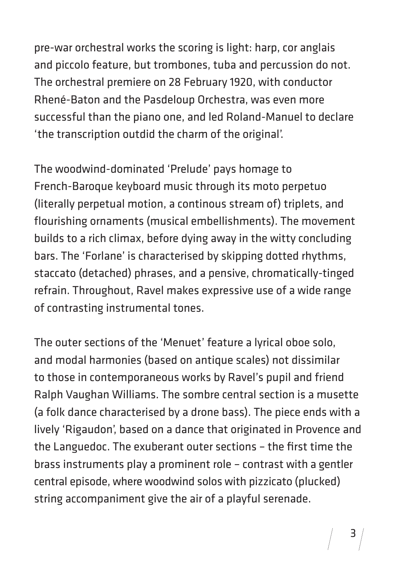pre-war orchestral works the scoring is light: harp, cor anglais and piccolo feature, but trombones, tuba and percussion do not. The orchestral premiere on 28 February 1920, with conductor Rhené-Baton and the Pasdeloup Orchestra, was even more successful than the piano one, and led Roland-Manuel to declare 'the transcription outdid the charm of the original'.

The woodwind-dominated 'Prelude' pays homage to French-Baroque keyboard music through its moto perpetuo (literally perpetual motion, a continous stream of) triplets, and flourishing ornaments (musical embellishments). The movement builds to a rich climax, before dying away in the witty concluding bars. The 'Forlane' is characterised by skipping dotted rhythms, staccato (detached) phrases, and a pensive, chromatically-tinged refrain. Throughout, Ravel makes expressive use of a wide range of contrasting instrumental tones.

The outer sections of the 'Menuet' feature a lyrical oboe solo, and modal harmonies (based on antique scales) not dissimilar to those in contemporaneous works by Ravel's pupil and friend Ralph Vaughan Williams. The sombre central section is a musette (a folk dance characterised by a drone bass). The piece ends with a lively 'Rigaudon', based on a dance that originated in Provence and the Languedoc. The exuberant outer sections – the first time the brass instruments play a prominent role – contrast with a gentler central episode, where woodwind solos with pizzicato (plucked) string accompaniment give the air of a playful serenade.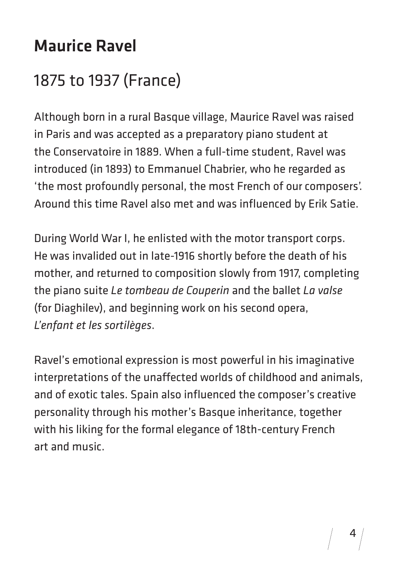#### Maurice Ravel

#### 1875 to 1937 (France)

Although born in a rural Basque village, Maurice Ravel was raised in Paris and was accepted as a preparatory piano student at the Conservatoire in 1889. When a full-time student, Ravel was introduced (in 1893) to Emmanuel Chabrier, who he regarded as 'the most profoundly personal, the most French of our composers'. Around this time Ravel also met and was influenced by Erik Satie.

During World War I, he enlisted with the motor transport corps. He was invalided out in late-1916 shortly before the death of his mother, and returned to composition slowly from 1917, completing the piano suite *Le tombeau de Couperin* and the ballet *La valse* (for Diaghilev), and beginning work on his second opera, *L'enfant et les sortilèges*.

Ravel's emotional expression is most powerful in his imaginative interpretations of the unaffected worlds of childhood and animals, and of exotic tales. Spain also influenced the composer's creative personality through his mother's Basque inheritance, together with his liking for the formal elegance of 18th-century French art and music.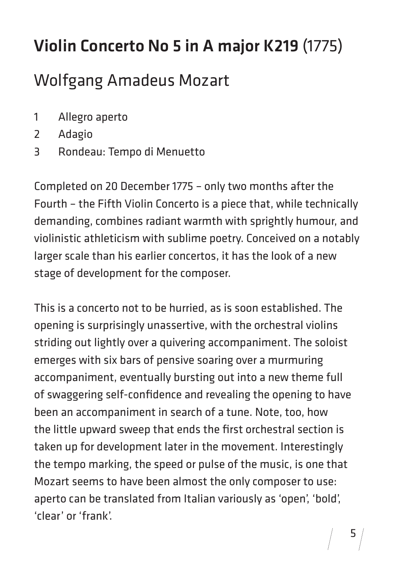# Violin Concerto No 5 in A major K219 (1775)

#### Wolfgang Amadeus Mozart

- 1 Allegro aperto
- 2 Adagio
- 3 Rondeau: Tempo di Menuetto

Completed on 20 December 1775 – only two months after the Fourth – the Fifth Violin Concerto is a piece that, while technically demanding, combines radiant warmth with sprightly humour, and violinistic athleticism with sublime poetry. Conceived on a notably larger scale than his earlier concertos, it has the look of a new stage of development for the composer.

This is a concerto not to be hurried, as is soon established. The opening is surprisingly unassertive, with the orchestral violins striding out lightly over a quivering accompaniment. The soloist emerges with six bars of pensive soaring over a murmuring accompaniment, eventually bursting out into a new theme full of swaggering self-confidence and revealing the opening to have been an accompaniment in search of a tune. Note, too, how the little upward sweep that ends the first orchestral section is taken up for development later in the movement. Interestingly the tempo marking, the speed or pulse of the music, is one that Mozart seems to have been almost the only composer to use: aperto can be translated from Italian variously as 'open', 'bold', 'clear' or 'frank'.

5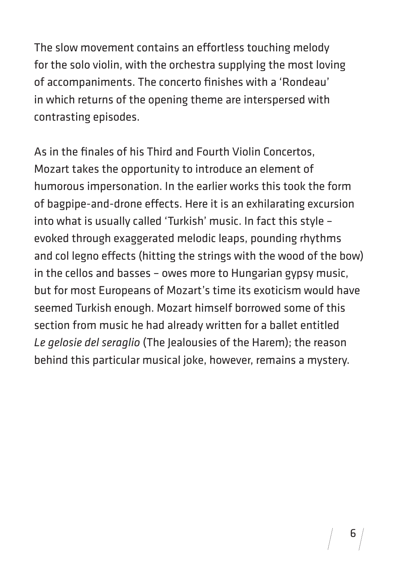The slow movement contains an effortless touching melody for the solo violin, with the orchestra supplying the most loving of accompaniments. The concerto finishes with a 'Rondeau' in which returns of the opening theme are interspersed with contrasting episodes.

As in the finales of his Third and Fourth Violin Concertos, Mozart takes the opportunity to introduce an element of humorous impersonation. In the earlier works this took the form of bagpipe-and-drone effects. Here it is an exhilarating excursion into what is usually called 'Turkish' music. In fact this style – evoked through exaggerated melodic leaps, pounding rhythms and col legno effects (hitting the strings with the wood of the bow) in the cellos and basses – owes more to Hungarian gypsy music, but for most Europeans of Mozart's time its exoticism would have seemed Turkish enough. Mozart himself borrowed some of this section from music he had already written for a ballet entitled *Le gelosie del seraglio* (The Jealousies of the Harem); the reason behind this particular musical joke, however, remains a mystery.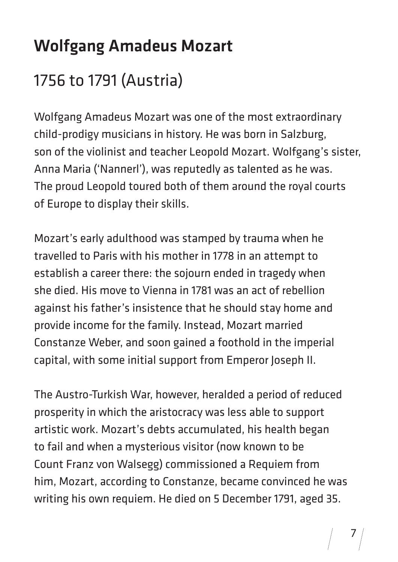# Wolfgang Amadeus Mozart

#### 1756 to 1791 (Austria)

Wolfgang Amadeus Mozart was one of the most extraordinary child-prodigy musicians in history. He was born in Salzburg, son of the violinist and teacher Leopold Mozart. Wolfgang's sister, Anna Maria ('Nannerl'), was reputedly as talented as he was. The proud Leopold toured both of them around the royal courts of Europe to display their skills.

Mozart's early adulthood was stamped by trauma when he travelled to Paris with his mother in 1778 in an attempt to establish a career there: the sojourn ended in tragedy when she died. His move to Vienna in 1781 was an act of rebellion against his father's insistence that he should stay home and provide income for the family. Instead, Mozart married Constanze Weber, and soon gained a foothold in the imperial capital, with some initial support from Emperor Joseph II.

The Austro-Turkish War, however, heralded a period of reduced prosperity in which the aristocracy was less able to support artistic work. Mozart's debts accumulated, his health began to fail and when a mysterious visitor (now known to be Count Franz von Walsegg) commissioned a Requiem from him, Mozart, according to Constanze, became convinced he was writing his own requiem. He died on 5 December 1791, aged 35.

7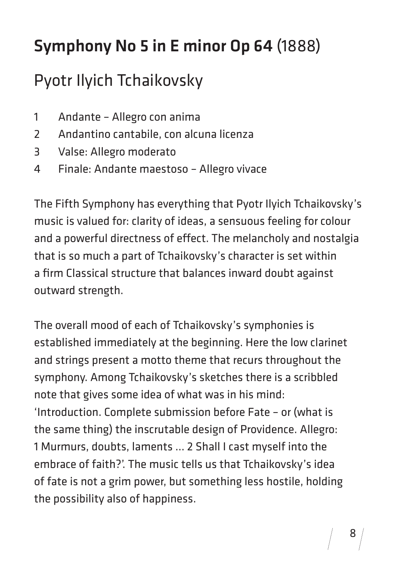# Symphony No 5 in E minor Op 64 (1888)

#### Pyotr Ilyich Tchaikovsky

- 1 Andante Allegro con anima
- 2 Andantino cantabile, con alcuna licenza
- 3 Valse: Allegro moderato
- 4 Finale: Andante maestoso Allegro vivace

The Fifth Symphony has everything that Pyotr Ilyich Tchaikovsky's music is valued for: clarity of ideas, a sensuous feeling for colour and a powerful directness of effect. The melancholy and nostalgia that is so much a part of Tchaikovsky's character is set within a firm Classical structure that balances inward doubt against outward strength.

The overall mood of each of Tchaikovsky's symphonies is established immediately at the beginning. Here the low clarinet and strings present a motto theme that recurs throughout the symphony. Among Tchaikovsky's sketches there is a scribbled note that gives some idea of what was in his mind: 'Introduction. Complete submission before Fate – or (what is the same thing) the inscrutable design of Providence. Allegro: 1 Murmurs, doubts, laments … 2 Shall I cast myself into the embrace of faith?'. The music tells us that Tchaikovsky's idea of fate is not a grim power, but something less hostile, holding the possibility also of happiness.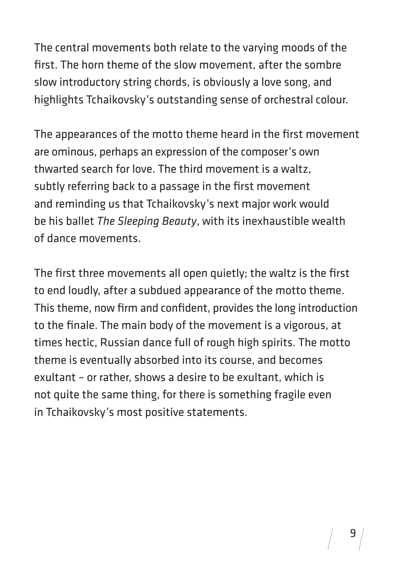The central movements both relate to the varying moods of the first. The horn theme of the slow movement, after the sombre slow introductory string chords, is obviously a love song, and highlights Tchaikovsky's outstanding sense of orchestral colour.

The appearances of the motto theme heard in the first movement are ominous, perhaps an expression of the composer's own thwarted search for love. The third movement is a waltz, subtly referring back to a passage in the first movement and reminding us that Tchaikovsky's next major work would be his ballet *The Sleeping Beauty*, with its inexhaustible wealth of dance movements.

The first three movements all open quietly; the waltz is the first to end loudly, after a subdued appearance of the motto theme. This theme, now firm and confident, provides the long introduction to the finale. The main body of the movement is a vigorous, at times hectic, Russian dance full of rough high spirits. The motto theme is eventually absorbed into its course, and becomes exultant – or rather, shows a desire to be exultant, which is not quite the same thing, for there is something fragile even in Tchaikovsky's most positive statements.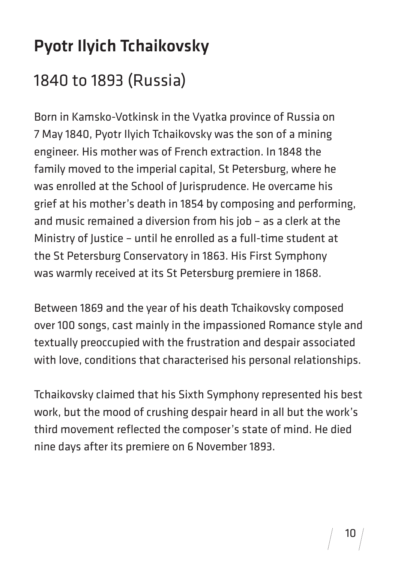# Pyotr Ilyich Tchaikovsky 1840 to 1893 (Russia)

Born in Kamsko-Votkinsk in the Vyatka province of Russia on 7 May 1840, Pyotr Ilyich Tchaikovsky was the son of a mining engineer. His mother was of French extraction. In 1848 the family moved to the imperial capital, St Petersburg, where he was enrolled at the School of Jurisprudence. He overcame his grief at his mother's death in 1854 by composing and performing, and music remained a diversion from his job – as a clerk at the Ministry of Justice – until he enrolled as a full-time student at the St Petersburg Conservatory in 1863. His First Symphony was warmly received at its St Petersburg premiere in 1868.

Between 1869 and the year of his death Tchaikovsky composed over 100 songs, cast mainly in the impassioned Romance style and textually preoccupied with the frustration and despair associated with love, conditions that characterised his personal relationships.

Tchaikovsky claimed that his Sixth Symphony represented his best work, but the mood of crushing despair heard in all but the work's third movement reflected the composer's state of mind. He died nine days after its premiere on 6 November 1893.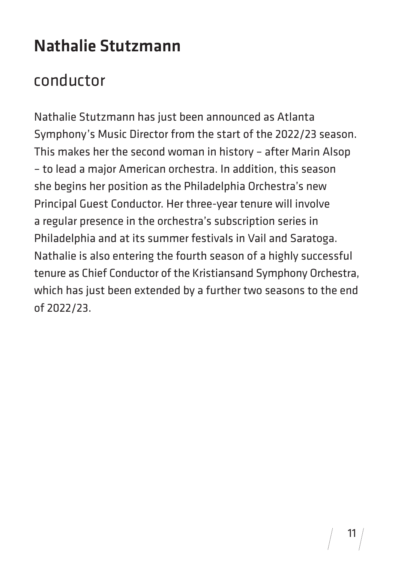#### Nathalie Stutzmann

#### conductor

Nathalie Stutzmann has just been announced as Atlanta Symphony's Music Director from the start of the 2022/23 season. This makes her the second woman in history – after Marin Alsop – to lead a major American orchestra. In addition, this season she begins her position as the Philadelphia Orchestra's new Principal Guest Conductor. Her three-year tenure will involve a regular presence in the orchestra's subscription series in Philadelphia and at its summer festivals in Vail and Saratoga. Nathalie is also entering the fourth season of a highly successful tenure as Chief Conductor of the Kristiansand Symphony Orchestra, which has just been extended by a further two seasons to the end of 2022/23.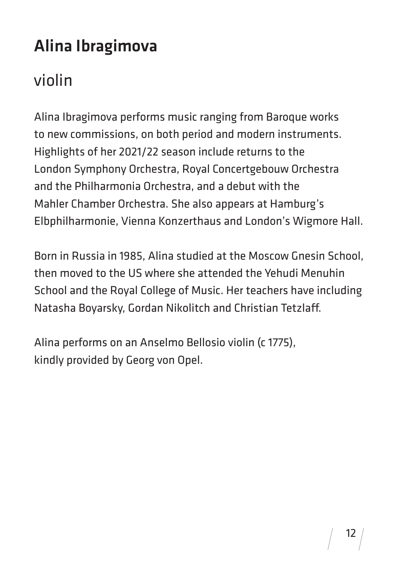# Alina Ibragimova

#### violin

Alina Ibragimova performs music ranging from Baroque works to new commissions, on both period and modern instruments. Highlights of her 2021/22 season include returns to the London Symphony Orchestra, Royal Concertgebouw Orchestra and the Philharmonia Orchestra, and a debut with the Mahler Chamber Orchestra. She also appears at Hamburg's Elbphilharmonie, Vienna Konzerthaus and London's Wigmore Hall.

Born in Russia in 1985, Alina studied at the Moscow Gnesin School, then moved to the US where she attended the Yehudi Menuhin School and the Royal College of Music. Her teachers have including Natasha Boyarsky, Gordan Nikolitch and Christian Tetzlaff.

Alina performs on an Anselmo Bellosio violin (c 1775), kindly provided by Georg von Opel.